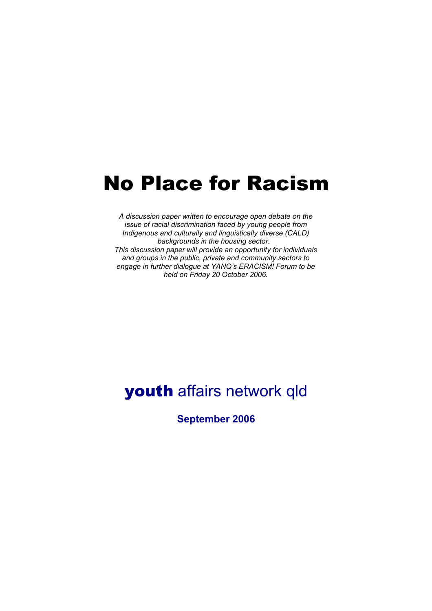# No Place for Racism

*A discussion paper written to encourage open debate on the issue of racial discrimination faced by young people from Indigenous and culturally and linguistically diverse (CALD) backgrounds in the housing sector. This discussion paper will provide an opportunity for individuals and groups in the public, private and community sectors to engage in further dialogue at YANQ's ERACISM! Forum to be held on Friday 20 October 2006.*

## youth affairs network qld

**September 2006**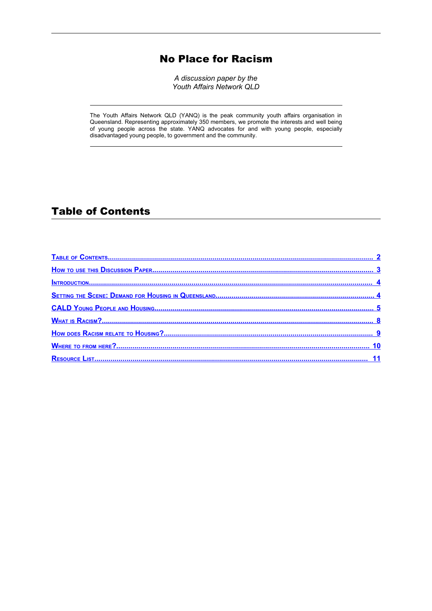### No Place for Racism

*A discussion paper by the Youth Affairs Network QLD*

The Youth Affairs Network QLD (YANQ) is the peak community youth affairs organisation in Queensland. Representing approximately 350 members, we promote the interests and well being of young people across the state. YANQ advocates for and with young people, especially disadvantaged young people, to government and the community.

#### <span id="page-1-0"></span>Table of Contents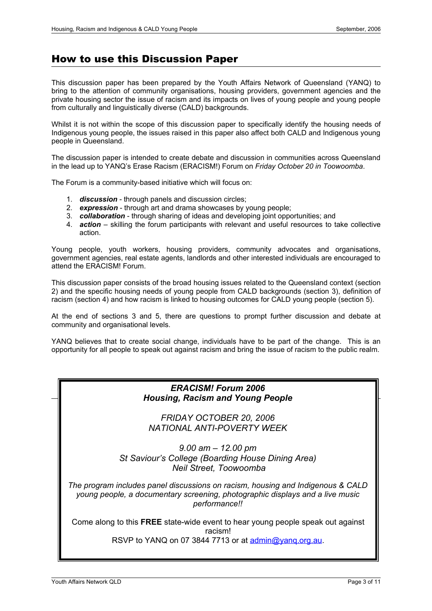#### <span id="page-2-0"></span>How to use this Discussion Paper

This discussion paper has been prepared by the Youth Affairs Network of Queensland (YANQ) to bring to the attention of community organisations, housing providers, government agencies and the private housing sector the issue of racism and its impacts on lives of young people and young people from culturally and linguistically diverse (CALD) backgrounds.

Whilst it is not within the scope of this discussion paper to specifically identify the housing needs of Indigenous young people, the issues raised in this paper also affect both CALD and Indigenous young people in Queensland.

The discussion paper is intended to create debate and discussion in communities across Queensland in the lead up to YANQ's Erase Racism (ERACISM!) Forum on *Friday October 20 in Toowoomba*.

The Forum is a community-based initiative which will focus on:

- 1. *discussion* through panels and discussion circles;
- 2. *expression* through art and drama showcases by young people;
- 3. *collaboration* through sharing of ideas and developing joint opportunities; and
- 4. *action* skilling the forum participants with relevant and useful resources to take collective action.

Young people, youth workers, housing providers, community advocates and organisations, government agencies, real estate agents, landlords and other interested individuals are encouraged to attend the ERACISM! Forum.

This discussion paper consists of the broad housing issues related to the Queensland context (section 2) and the specific housing needs of young people from CALD backgrounds (section 3), definition of racism (section 4) and how racism is linked to housing outcomes for CALD young people (section 5).

At the end of sections 3 and 5, there are questions to prompt further discussion and debate at community and organisational levels.

YANQ believes that to create social change, individuals have to be part of the change. This is an opportunity for all people to speak out against racism and bring the issue of racism to the public realm.

#### *ERACISM! Forum 2006 Housing, Racism and Young People*

*FRIDAY OCTOBER 20, 2006 NATIONAL ANTI-POVERTY WEEK*

*9.00 am – 12.00 pm St Saviour's College (Boarding House Dining Area) Neil Street, Toowoomba*

*The program includes panel discussions on racism, housing and Indigenous & CALD young people, a documentary screening, photographic displays and a live music performance!!*

Come along to this **FREE** state-wide event to hear young people speak out against racism!

RSVP to YANQ on 07 3844 7713 or at admin@yang.org.au.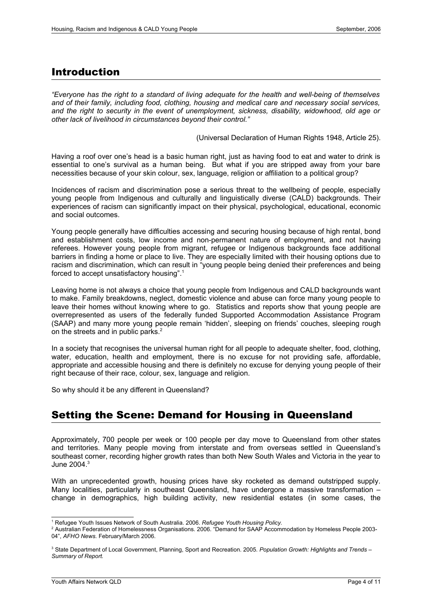#### <span id="page-3-1"></span>Introduction

*"Everyone has the right to a standard of living adequate for the health and well-being of themselves and of their family, including food, clothing, housing and medical care and necessary social services, and the right to security in the event of unemployment, sickness, disability, widowhood, old age or other lack of livelihood in circumstances beyond their control."*

(Universal Declaration of Human Rights 1948, Article 25).

Having a roof over one's head is a basic human right, just as having food to eat and water to drink is essential to one's survival as a human being. But what if you are stripped away from your bare necessities because of your skin colour, sex, language, religion or affiliation to a political group?

Incidences of racism and discrimination pose a serious threat to the wellbeing of people, especially young people from Indigenous and culturally and linguistically diverse (CALD) backgrounds. Their experiences of racism can significantly impact on their physical, psychological, educational, economic and social outcomes.

Young people generally have difficulties accessing and securing housing because of high rental, bond and establishment costs, low income and non-permanent nature of employment, and not having referees. However young people from migrant, refugee or Indigenous backgrounds face additional barriers in finding a home or place to live. They are especially limited with their housing options due to racism and discrimination, which can result in "young people being denied their preferences and being forced to accept unsatisfactory housing". [1](#page-3-2)

Leaving home is not always a choice that young people from Indigenous and CALD backgrounds want to make. Family breakdowns, neglect, domestic violence and abuse can force many young people to leave their homes without knowing where to go. Statistics and reports show that young people are overrepresented as users of the federally funded Supported Accommodation Assistance Program (SAAP) and many more young people remain 'hidden', sleeping on friends' couches, sleeping rough on the streets and in public parks. $2^2$  $2^2$ 

In a society that recognises the universal human right for all people to adequate shelter, food, clothing, water, education, health and employment, there is no excuse for not providing safe, affordable, appropriate and accessible housing and there is definitely no excuse for denying young people of their right because of their race, colour, sex, language and religion.

So why should it be any different in Queensland?

#### <span id="page-3-0"></span>Setting the Scene: Demand for Housing in Queensland

Approximately, 700 people per week or 100 people per day move to Queensland from other states and territories. Many people moving from interstate and from overseas settled in Queensland's southeast corner, recording higher growth rates than both New South Wales and Victoria in the year to June 2004. [3](#page-3-4)

With an unprecedented growth, housing prices have sky rocketed as demand outstripped supply. Many localities, particularly in southeast Queensland, have undergone a massive transformation – change in demographics, high building activity, new residential estates (in some cases, the

<span id="page-3-2"></span><sup>1</sup> Refugee Youth Issues Network of South Australia. 2006. *Refugee Youth Housing Policy.*

<span id="page-3-3"></span><sup>2</sup> Australian Federation of Homelessness Organisations. 2006. "Demand for SAAP Accommodation by Homeless People 2003- 04", *AFHO News.* February/March 2006.

<span id="page-3-4"></span><sup>3</sup> State Department of Local Government, Planning, Sport and Recreation. 2005. *Population Growth: Highlights and Trends – Summary of Report.*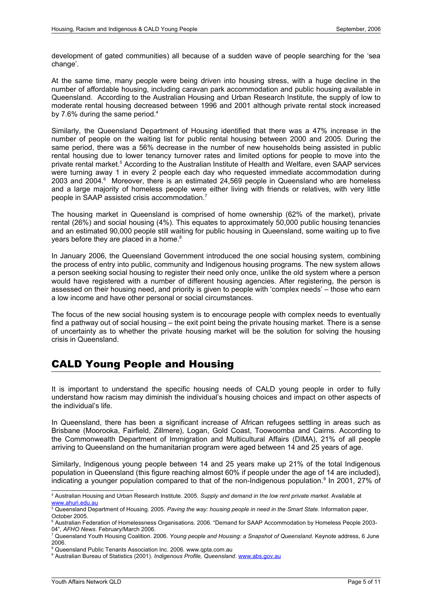development of gated communities) all because of a sudden wave of people searching for the 'sea change'.

At the same time, many people were being driven into housing stress, with a huge decline in the number of affordable housing, including caravan park accommodation and public housing available in Queensland. According to the Australian Housing and Urban Research Institute, the supply of low to moderate rental housing decreased between 1996 and 2001 although private rental stock increased by 7.6% during the same period.<sup>[4](#page-4-1)</sup>

Similarly, the Queensland Department of Housing identified that there was a 47% increase in the number of people on the waiting list for public rental housing between 2000 and 2005. During the same period, there was a 56% decrease in the number of new households being assisted in public rental housing due to lower tenancy turnover rates and limited options for people to move into the private rental market. [5](#page-4-2) According to the Australian Institute of Health and Welfare, even SAAP services were turning away 1 in every 2 people each day who requested immediate accommodation during 2003 and 2004. [6](#page-4-3) Moreover, there is an estimated 24,569 people in Queensland who are homeless and a large majority of homeless people were either living with friends or relatives, with very little people in SAAP assisted crisis accommodation. [7](#page-4-4)

The housing market in Queensland is comprised of home ownership (62% of the market), private rental (26%) and social housing (4%). This equates to approximately 50,000 public housing tenancies and an estimated 90,000 people still waiting for public housing in Queensland, some waiting up to five years before they are placed in a home.<sup>[8](#page-4-5)</sup>

In January 2006, the Queensland Government introduced the one social housing system, combining the process of entry into public, community and Indigenous housing programs. The new system allows a person seeking social housing to register their need only once, unlike the old system where a person would have registered with a number of different housing agencies. After registering, the person is assessed on their housing need, and priority is given to people with 'complex needs' – those who earn a low income and have other personal or social circumstances.

The focus of the new social housing system is to encourage people with complex needs to eventually find a pathway out of social housing – the exit point being the private housing market. There is a sense of uncertainty as to whether the private housing market will be the solution for solving the housing crisis in Queensland.

### <span id="page-4-0"></span>CALD Young People and Housing

It is important to understand the specific housing needs of CALD young people in order to fully understand how racism may diminish the individual's housing choices and impact on other aspects of the individual's life.

In Queensland, there has been a significant increase of African refugees settling in areas such as Brisbane (Moorooka, Fairfield, Zillmere), Logan, Gold Coast, Toowoomba and Cairns. According to the Commonwealth Department of Immigration and Multicultural Affairs (DIMA), 21% of all people arriving to Queensland on the humanitarian program were aged between 14 and 25 years of age.

Similarly, Indigenous young people between 14 and 25 years make up 21% of the total Indigenous population in Queensland (this figure reaching almost 60% if people under the age of 14 are included), indicating a younger population compared to that of the non-Indigenous population.<sup>[9](#page-4-6)</sup> In 2001, 27% of

<span id="page-4-1"></span><sup>4</sup> Australian Housing and Urban Research Institute. 2005. *Supply and demand in the low rent private market.* Available at [www.ahuri.edu.au](http://www.ahuri.edu.au/)

<span id="page-4-2"></span><sup>5</sup> Queensland Department of Housing. 2005. *Paving the way: housing people in need in the Smart State.* Information paper, October 2005.

<span id="page-4-3"></span><sup>6</sup> Australian Federation of Homelessness Organisations. 2006. "Demand for SAAP Accommodation by Homeless People 2003- 04", *AFHO News.* February/March 2006.

<span id="page-4-4"></span><sup>7</sup> Queensland Youth Housing Coalition. 2006. *Young people and Housing: a Snapshot of Queensland.* Keynote address, 6 June 2006.

<span id="page-4-5"></span><sup>&</sup>lt;sup>8</sup> Queensland Public Tenants Association Inc. 2006. www.qpta.com.au

<span id="page-4-6"></span><sup>9</sup> Australian Bureau of Statistics (2001). *Indigenous Profile, Queensland*. [www.abs.gov.au](http://www.abs.gov.au/)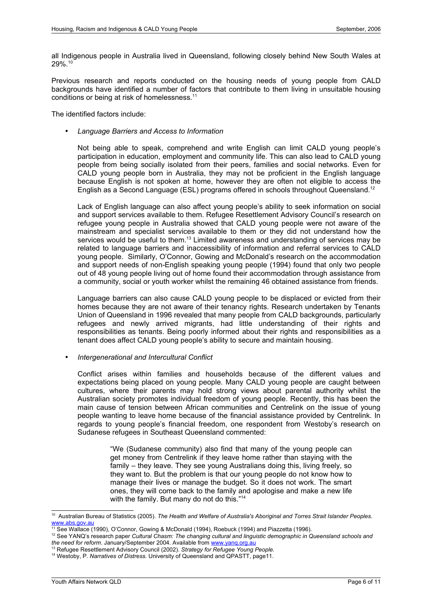all Indigenous people in Australia lived in Queensland, following closely behind New South Wales at 29%. [10](#page-5-0)

Previous research and reports conducted on the housing needs of young people from CALD backgrounds have identified a number of factors that contribute to them living in unsuitable housing conditions or being at risk of homelessness.[11](#page-5-1)

The identified factors include:

• *Language Barriers and Access to Information*

Not being able to speak, comprehend and write English can limit CALD young people's participation in education, employment and community life. This can also lead to CALD young people from being socially isolated from their peers, families and social networks. Even for CALD young people born in Australia, they may not be proficient in the English language because English is not spoken at home, however they are often not eligible to access the English as a Second Language (ESL) programs offered in schools throughout Queensland.<sup>[12](#page-5-2)</sup>

Lack of English language can also affect young people's ability to seek information on social and support services available to them. Refugee Resettlement Advisory Council's research on refugee young people in Australia showed that CALD young people were not aware of the mainstream and specialist services available to them or they did not understand how the services would be useful to them.<sup>[13](#page-5-3)</sup> Limited awareness and understanding of services may be related to language barriers and inaccessibility of information and referral services to CALD young people. Similarly, O'Connor, Gowing and McDonald's research on the accommodation and support needs of non-English speaking young people (1994) found that only two people out of 48 young people living out of home found their accommodation through assistance from a community, social or youth worker whilst the remaining 46 obtained assistance from friends.

Language barriers can also cause CALD young people to be displaced or evicted from their homes because they are not aware of their tenancy rights. Research undertaken by Tenants Union of Queensland in 1996 revealed that many people from CALD backgrounds, particularly refugees and newly arrived migrants, had little understanding of their rights and responsibilities as tenants. Being poorly informed about their rights and responsibilities as a tenant does affect CALD young people's ability to secure and maintain housing.

• *Intergenerational and Intercultural Conflict*

Conflict arises within families and households because of the different values and expectations being placed on young people. Many CALD young people are caught between cultures, where their parents may hold strong views about parental authority whilst the Australian society promotes individual freedom of young people. Recently, this has been the main cause of tension between African communities and Centrelink on the issue of young people wanting to leave home because of the financial assistance provided by Centrelink. In regards to young people's financial freedom, one respondent from Westoby's research on Sudanese refugees in Southeast Queensland commented:

> "We (Sudanese community) also find that many of the young people can get money from Centrelink if they leave home rather than staying with the family – they leave. They see young Australians doing this, living freely, so they want to. But the problem is that our young people do not know how to manage their lives or manage the budget. So it does not work. The smart ones, they will come back to the family and apologise and make a new life with the family. But many do not do this."<sup>[14](#page-5-4)</sup>

<span id="page-5-0"></span><sup>10</sup> Australian Bureau of Statistics (2005). *The Health and Welfare of Australia's Aboriginal and Torres Strait Islander Peoples*. [www.abs.gov.au](http://www.abs.gov.au/)

<span id="page-5-1"></span><sup>11</sup> See Wallace (1990), O'Connor, Gowing & McDonald (1994), Roebuck (1994) and Piazzetta (1996).

<span id="page-5-2"></span><sup>12</sup> See YANQ's research paper *Cultural Chasm: The changing cultural and linguistic demographic in Queensland schools and the need for reform*. January/September 2004. Available from [www.yanq.org.au](http://www.yanq.org.au/)

<span id="page-5-3"></span><sup>13</sup> Refugee Resettlement Advisory Council (2002). *Strategy for Refugee Young People.*

<span id="page-5-4"></span><sup>14</sup> Westoby, P. *Narratives of Distress.* University of Queensland and QPASTT, page11.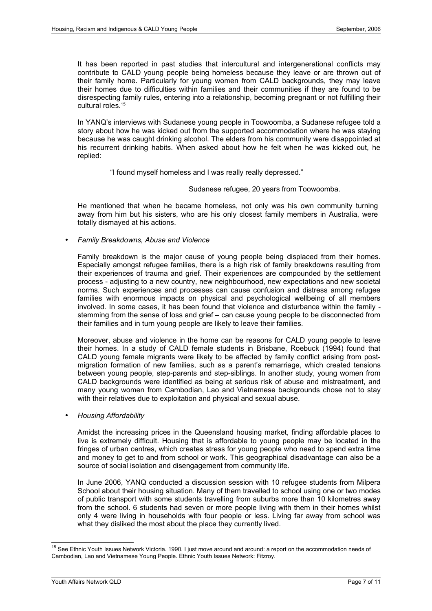It has been reported in past studies that intercultural and intergenerational conflicts may contribute to CALD young people being homeless because they leave or are thrown out of their family home. Particularly for young women from CALD backgrounds, they may leave their homes due to difficulties within families and their communities if they are found to be disrespecting family rules, entering into a relationship, becoming pregnant or not fulfilling their cultural roles.<sup>[15](#page-6-0)</sup>

In YANQ's interviews with Sudanese young people in Toowoomba, a Sudanese refugee told a story about how he was kicked out from the supported accommodation where he was staying because he was caught drinking alcohol. The elders from his community were disappointed at his recurrent drinking habits. When asked about how he felt when he was kicked out, he replied:

"I found myself homeless and I was really really depressed."

Sudanese refugee, 20 years from Toowoomba.

He mentioned that when he became homeless, not only was his own community turning away from him but his sisters, who are his only closest family members in Australia, were totally dismayed at his actions.

• *Family Breakdowns, Abuse and Violence*

Family breakdown is the major cause of young people being displaced from their homes. Especially amongst refugee families, there is a high risk of family breakdowns resulting from their experiences of trauma and grief. Their experiences are compounded by the settlement process - adjusting to a new country, new neighbourhood, new expectations and new societal norms. Such experiences and processes can cause confusion and distress among refugee families with enormous impacts on physical and psychological wellbeing of all members involved. In some cases, it has been found that violence and disturbance within the family stemming from the sense of loss and grief – can cause young people to be disconnected from their families and in turn young people are likely to leave their families.

Moreover, abuse and violence in the home can be reasons for CALD young people to leave their homes. In a study of CALD female students in Brisbane, Roebuck (1994) found that CALD young female migrants were likely to be affected by family conflict arising from postmigration formation of new families, such as a parent's remarriage, which created tensions between young people, step-parents and step-siblings. In another study, young women from CALD backgrounds were identified as being at serious risk of abuse and mistreatment, and many young women from Cambodian, Lao and Vietnamese backgrounds chose not to stay with their relatives due to exploitation and physical and sexual abuse.

• *Housing Affordability*

Amidst the increasing prices in the Queensland housing market, finding affordable places to live is extremely difficult. Housing that is affordable to young people may be located in the fringes of urban centres, which creates stress for young people who need to spend extra time and money to get to and from school or work. This geographical disadvantage can also be a source of social isolation and disengagement from community life.

In June 2006, YANQ conducted a discussion session with 10 refugee students from Milpera School about their housing situation. Many of them travelled to school using one or two modes of public transport with some students travelling from suburbs more than 10 kilometres away from the school. 6 students had seven or more people living with them in their homes whilst only 4 were living in households with four people or less. Living far away from school was what they disliked the most about the place they currently lived.

<span id="page-6-0"></span><sup>&</sup>lt;sup>15</sup> See Ethnic Youth Issues Network Victoria. 1990. I just move around and around: a report on the accommodation needs of Cambodian, Lao and Vietnamese Young People. Ethnic Youth Issues Network: Fitzroy.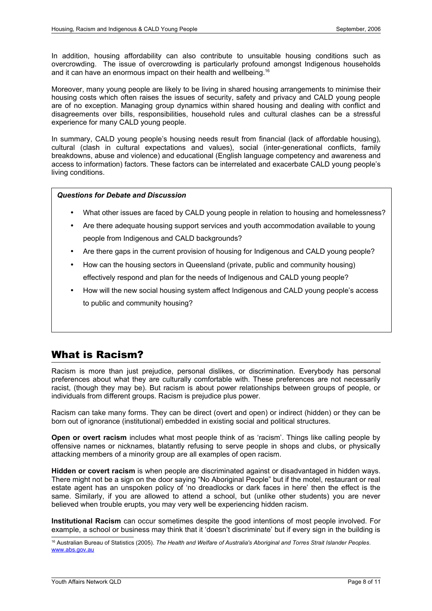In addition, housing affordability can also contribute to unsuitable housing conditions such as overcrowding. The issue of overcrowding is particularly profound amongst Indigenous households and it can have an enormous impact on their health and wellbeing.<sup>[16](#page-7-1)</sup>

Moreover, many young people are likely to be living in shared housing arrangements to minimise their housing costs which often raises the issues of security, safety and privacy and CALD young people are of no exception. Managing group dynamics within shared housing and dealing with conflict and disagreements over bills, responsibilities, household rules and cultural clashes can be a stressful experience for many CALD young people.

In summary, CALD young people's housing needs result from financial (lack of affordable housing), cultural (clash in cultural expectations and values), social (inter-generational conflicts, family breakdowns, abuse and violence) and educational (English language competency and awareness and access to information) factors. These factors can be interrelated and exacerbate CALD young people's living conditions.

#### *Questions for Debate and Discussion*

- What other issues are faced by CALD young people in relation to housing and homelessness?
- Are there adequate housing support services and youth accommodation available to young people from Indigenous and CALD backgrounds?
- Are there gaps in the current provision of housing for Indigenous and CALD young people?
- How can the housing sectors in Queensland (private, public and community housing) effectively respond and plan for the needs of Indigenous and CALD young people?
- How will the new social housing system affect Indigenous and CALD young people's access to public and community housing?

#### <span id="page-7-0"></span>What is Racism?

Racism is more than just prejudice, personal dislikes, or discrimination. Everybody has personal preferences about what they are culturally comfortable with. These preferences are not necessarily racist, (though they may be). But racism is about power relationships between groups of people, or individuals from different groups. Racism is prejudice plus power.

Racism can take many forms. They can be direct (overt and open) or indirect (hidden) or they can be born out of ignorance (institutional) embedded in existing social and political structures.

**Open or overt racism** includes what most people think of as 'racism'. Things like calling people by offensive names or nicknames, blatantly refusing to serve people in shops and clubs, or physically attacking members of a minority group are all examples of open racism.

**Hidden or covert racism** is when people are discriminated against or disadvantaged in hidden ways. There might not be a sign on the door saying "No Aboriginal People" but if the motel, restaurant or real estate agent has an unspoken policy of 'no dreadlocks or dark faces in here' then the effect is the same. Similarly, if you are allowed to attend a school, but (unlike other students) you are never believed when trouble erupts, you may very well be experiencing hidden racism.

**Institutional Racism** can occur sometimes despite the good intentions of most people involved. For example, a school or business may think that it 'doesn't discriminate' but if every sign in the building is

<span id="page-7-1"></span><sup>16</sup> Australian Bureau of Statistics (2005). *The Health and Welfare of Australia's Aboriginal and Torres Strait Islander Peoples*. [www.abs.gov.au](http://www.abs.gov.au/)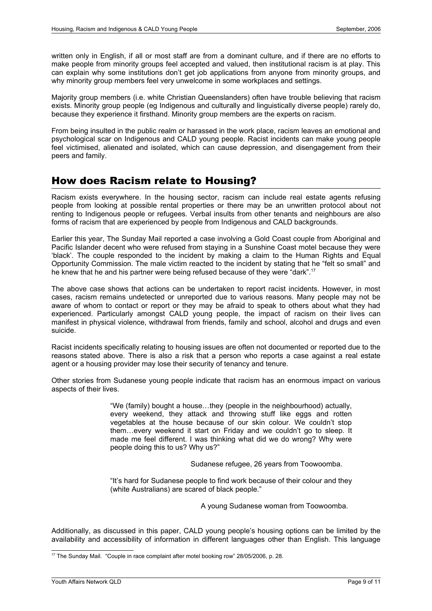written only in English, if all or most staff are from a dominant culture, and if there are no efforts to make people from minority groups feel accepted and valued, then institutional racism is at play. This can explain why some institutions don't get job applications from anyone from minority groups, and why minority group members feel very unwelcome in some workplaces and settings.

Majority group members (i.e. white Christian Queenslanders) often have trouble believing that racism exists. Minority group people (eg Indigenous and culturally and linguistically diverse people) rarely do, because they experience it firsthand. Minority group members are the experts on racism.

From being insulted in the public realm or harassed in the work place, racism leaves an emotional and psychological scar on Indigenous and CALD young people. Racist incidents can make young people feel victimised, alienated and isolated, which can cause depression, and disengagement from their peers and family.

## <span id="page-8-0"></span>How does Racism relate to Housing?

Racism exists everywhere. In the housing sector, racism can include real estate agents refusing people from looking at possible rental properties or there may be an unwritten protocol about not renting to Indigenous people or refugees. Verbal insults from other tenants and neighbours are also forms of racism that are experienced by people from Indigenous and CALD backgrounds.

Earlier this year, The Sunday Mail reported a case involving a Gold Coast couple from Aboriginal and Pacific Islander decent who were refused from staying in a Sunshine Coast motel because they were 'black'. The couple responded to the incident by making a claim to the Human Rights and Equal Opportunity Commission. The male victim reacted to the incident by stating that he "felt so small" and he knew that he and his partner were being refused because of they were "dark".<sup>[17](#page-8-1)</sup>

The above case shows that actions can be undertaken to report racist incidents. However, in most cases, racism remains undetected or unreported due to various reasons. Many people may not be aware of whom to contact or report or they may be afraid to speak to others about what they had experienced. Particularly amongst CALD young people, the impact of racism on their lives can manifest in physical violence, withdrawal from friends, family and school, alcohol and drugs and even suicide.

Racist incidents specifically relating to housing issues are often not documented or reported due to the reasons stated above. There is also a risk that a person who reports a case against a real estate agent or a housing provider may lose their security of tenancy and tenure.

Other stories from Sudanese young people indicate that racism has an enormous impact on various aspects of their lives.

> "We (family) bought a house…they (people in the neighbourhood) actually, every weekend, they attack and throwing stuff like eggs and rotten vegetables at the house because of our skin colour. We couldn't stop them…every weekend it start on Friday and we couldn't go to sleep. It made me feel different. I was thinking what did we do wrong? Why were people doing this to us? Why us?"

> > Sudanese refugee, 26 years from Toowoomba.

"It's hard for Sudanese people to find work because of their colour and they (white Australians) are scared of black people."

A young Sudanese woman from Toowoomba.

Additionally, as discussed in this paper, CALD young people's housing options can be limited by the availability and accessibility of information in different languages other than English. This language

<span id="page-8-1"></span><sup>&</sup>lt;sup>17</sup> The Sunday Mail. "Couple in race complaint after motel booking row" 28/05/2006, p. 28.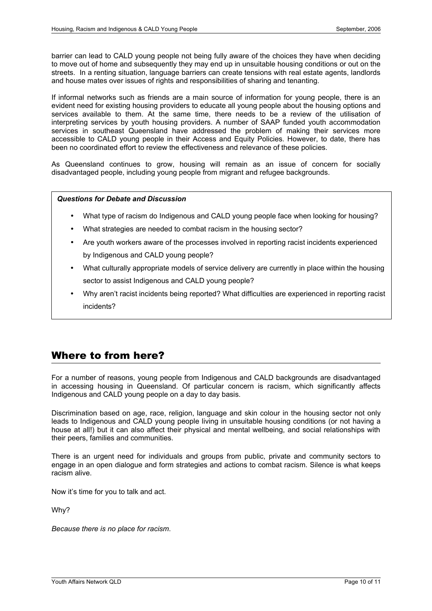barrier can lead to CALD young people not being fully aware of the choices they have when deciding to move out of home and subsequently they may end up in unsuitable housing conditions or out on the streets. In a renting situation, language barriers can create tensions with real estate agents, landlords and house mates over issues of rights and responsibilities of sharing and tenanting.

If informal networks such as friends are a main source of information for young people, there is an evident need for existing housing providers to educate all young people about the housing options and services available to them. At the same time, there needs to be a review of the utilisation of interpreting services by youth housing providers. A number of SAAP funded youth accommodation services in southeast Queensland have addressed the problem of making their services more accessible to CALD young people in their Access and Equity Policies. However, to date, there has been no coordinated effort to review the effectiveness and relevance of these policies.

As Queensland continues to grow, housing will remain as an issue of concern for socially disadvantaged people, including young people from migrant and refugee backgrounds.

#### *Questions for Debate and Discussion*

- What type of racism do Indigenous and CALD young people face when looking for housing?
- What strategies are needed to combat racism in the housing sector?
- Are youth workers aware of the processes involved in reporting racist incidents experienced by Indigenous and CALD young people?
- What culturally appropriate models of service delivery are currently in place within the housing sector to assist Indigenous and CALD young people?
- Why aren't racist incidents being reported? What difficulties are experienced in reporting racist incidents?

## <span id="page-9-0"></span>Where to from here?

For a number of reasons, young people from Indigenous and CALD backgrounds are disadvantaged in accessing housing in Queensland. Of particular concern is racism, which significantly affects Indigenous and CALD young people on a day to day basis.

Discrimination based on age, race, religion, language and skin colour in the housing sector not only leads to Indigenous and CALD young people living in unsuitable housing conditions (or not having a house at all!) but it can also affect their physical and mental wellbeing, and social relationships with their peers, families and communities.

There is an urgent need for individuals and groups from public, private and community sectors to engage in an open dialogue and form strategies and actions to combat racism. Silence is what keeps racism alive.

Now it's time for you to talk and act.

Why?

*Because there is no place for racism*.